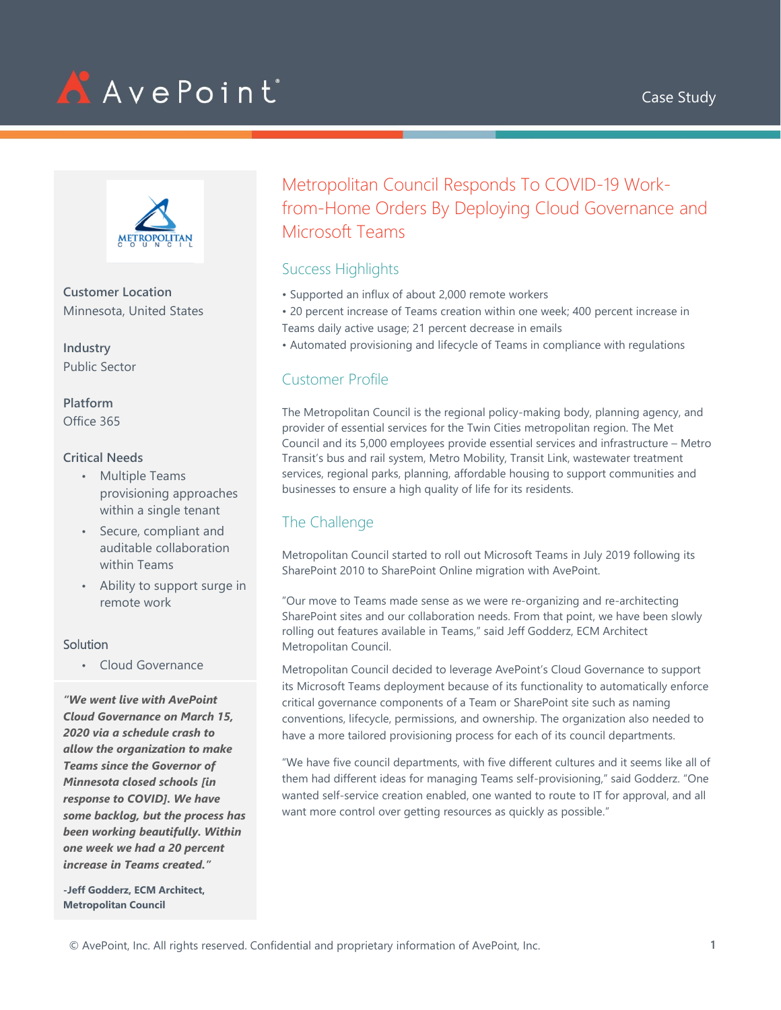





**Customer Location** Minnesota, United States

**Industry** Public Sector

**Platform** Office 365

#### **Critical Needs**

- Multiple Teams provisioning approaches within a single tenant
- Secure, compliant and auditable collaboration within Teams
- Ability to support surge in remote work

#### Solution

• Cloud Governance

*"We went live with AvePoint Cloud Governance on March 15, 2020 via a schedule crash to allow the organization to make Teams since the Governor of Minnesota closed schools [in response to COVID]. We have some backlog, but the process has been working beautifully. Within one week we had a 20 percent increase in Teams created."*

**-Jeff Godderz, ECM Architect, Metropolitan Council**

Metropolitan Council Responds To COVID-19 Workfrom-Home Orders By Deploying Cloud Governance and Microsoft Teams

### Success Highlights

- Supported an influx of about 2,000 remote workers
- 20 percent increase of Teams creation within one week; 400 percent increase in Teams daily active usage; 21 percent decrease in emails
- Automated provisioning and lifecycle of Teams in compliance with regulations

# Customer Profile

The Metropolitan Council is the regional policy-making body, planning agency, and provider of essential services for the Twin Cities metropolitan region. The Met Council and its 5,000 employees provide essential services and infrastructure – Metro Transit's bus and rail system, Metro Mobility, Transit Link, wastewater treatment services, regional parks, planning, affordable housing to support communities and businesses to ensure a high quality of life for its residents.

### The Challenge

Metropolitan Council started to roll out Microsoft Teams in July 2019 following its SharePoint 2010 to SharePoint Online migration with AvePoint.

"Our move to Teams made sense as we were re-organizing and re-architecting SharePoint sites and our collaboration needs. From that point, we have been slowly rolling out features available in Teams," said Jeff Godderz, ECM Architect Metropolitan Council.

Metropolitan Council decided to leverage AvePoint's Cloud Governance to support its Microsoft Teams deployment because of its functionality to automatically enforce critical governance components of a Team or SharePoint site such as naming conventions, lifecycle, permissions, and ownership. The organization also needed to have a more tailored provisioning process for each of its council departments.

"We have five council departments, with five different cultures and it seems like all of them had different ideas for managing Teams self-provisioning," said Godderz. "One wanted self-service creation enabled, one wanted to route to IT for approval, and all want more control over getting resources as quickly as possible."